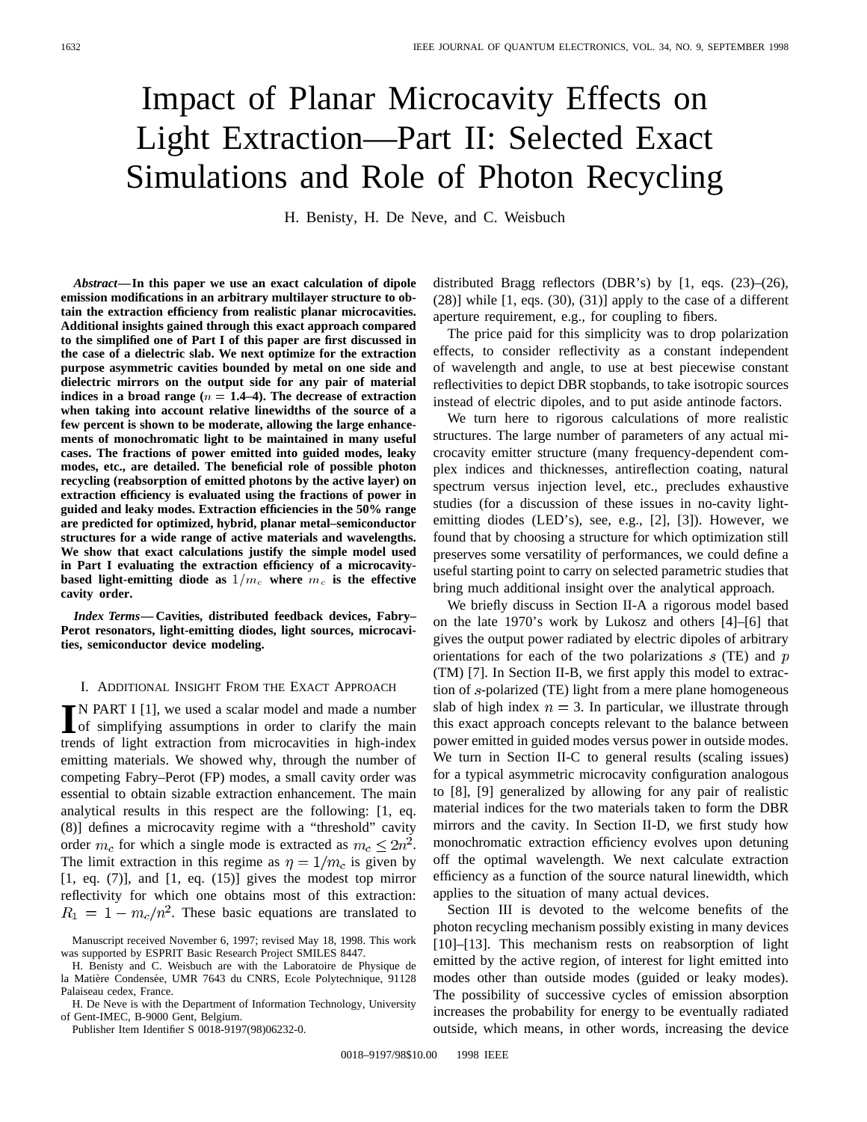# Impact of Planar Microcavity Effects on Light Extraction—Part II: Selected Exact Simulations and Role of Photon Recycling

H. Benisty, H. De Neve, and C. Weisbuch

*Abstract—***In this paper we use an exact calculation of dipole emission modifications in an arbitrary multilayer structure to obtain the extraction efficiency from realistic planar microcavities. Additional insights gained through this exact approach compared to the simplified one of Part I of this paper are first discussed in the case of a dielectric slab. We next optimize for the extraction purpose asymmetric cavities bounded by metal on one side and dielectric mirrors on the output side for any pair of material** indices in a broad range  $(n = 1.4-4)$ . The decrease of extraction **when taking into account relative linewidths of the source of a few percent is shown to be moderate, allowing the large enhancements of monochromatic light to be maintained in many useful cases. The fractions of power emitted into guided modes, leaky modes, etc., are detailed. The beneficial role of possible photon recycling (reabsorption of emitted photons by the active layer) on extraction efficiency is evaluated using the fractions of power in guided and leaky modes. Extraction efficiencies in the 50% range are predicted for optimized, hybrid, planar metal–semiconductor structures for a wide range of active materials and wavelengths. We show that exact calculations justify the simple model used in Part I evaluating the extraction efficiency of a microcavitybased light-emitting diode as**  $1/m_c$  where  $m_c$  is the effective **cavity order.**

*Index Terms—* **Cavities, distributed feedback devices, Fabry– Perot resonators, light-emitting diodes, light sources, microcavities, semiconductor device modeling.**

### I. ADDITIONAL INSIGHT FROM THE EXACT APPROACH

IN PART I [1], we used a scalar model and made a number<br>of simplifying assumptions in order to clarify the main of simplifying assumptions in order to clarify the main trends of light extraction from microcavities in high-index emitting materials. We showed why, through the number of competing Fabry–Perot (FP) modes, a small cavity order was essential to obtain sizable extraction enhancement. The main analytical results in this respect are the following: [1, eq. (8)] defines a microcavity regime with a "threshold" cavity order  $m_c$  for which a single mode is extracted as  $m_c \le 2n^2$ . The limit extraction in this regime as  $\eta = 1/m_c$  is given by  $[1, eq. (7)]$ , and  $[1, eq. (15)]$  gives the modest top mirror reflectivity for which one obtains most of this extraction:  $R_1 = 1 - m_c/n^2$ . These basic equations are translated to

H. Benisty and C. Weisbuch are with the Laboratoire de Physique de la Matière Condensée, UMR 7643 du CNRS, Ecole Polytechnique, 91128 Palaiseau cedex, France.

H. De Neve is with the Department of Information Technology, University of Gent-IMEC, B-9000 Gent, Belgium.

Publisher Item Identifier S 0018-9197(98)06232-0.

distributed Bragg reflectors (DBR's) by [1, eqs. (23)–(26), (28)] while [1, eqs. (30), (31)] apply to the case of a different aperture requirement, e.g., for coupling to fibers.

The price paid for this simplicity was to drop polarization effects, to consider reflectivity as a constant independent of wavelength and angle, to use at best piecewise constant reflectivities to depict DBR stopbands, to take isotropic sources instead of electric dipoles, and to put aside antinode factors.

We turn here to rigorous calculations of more realistic structures. The large number of parameters of any actual microcavity emitter structure (many frequency-dependent complex indices and thicknesses, antireflection coating, natural spectrum versus injection level, etc., precludes exhaustive studies (for a discussion of these issues in no-cavity lightemitting diodes (LED's), see, e.g., [2], [3]). However, we found that by choosing a structure for which optimization still preserves some versatility of performances, we could define a useful starting point to carry on selected parametric studies that bring much additional insight over the analytical approach.

We briefly discuss in Section II-A a rigorous model based on the late 1970's work by Lukosz and others [4]–[6] that gives the output power radiated by electric dipoles of arbitrary orientations for each of the two polarizations  $s$  (TE) and  $p$ (TM) [7]. In Section II-B, we first apply this model to extraction of *s*-polarized (TE) light from a mere plane homogeneous slab of high index  $n = 3$ . In particular, we illustrate through this exact approach concepts relevant to the balance between power emitted in guided modes versus power in outside modes. We turn in Section II-C to general results (scaling issues) for a typical asymmetric microcavity configuration analogous to [8], [9] generalized by allowing for any pair of realistic material indices for the two materials taken to form the DBR mirrors and the cavity. In Section II-D, we first study how monochromatic extraction efficiency evolves upon detuning off the optimal wavelength. We next calculate extraction efficiency as a function of the source natural linewidth, which applies to the situation of many actual devices.

Section III is devoted to the welcome benefits of the photon recycling mechanism possibly existing in many devices [10]–[13]. This mechanism rests on reabsorption of light emitted by the active region, of interest for light emitted into modes other than outside modes (guided or leaky modes). The possibility of successive cycles of emission absorption increases the probability for energy to be eventually radiated outside, which means, in other words, increasing the device

Manuscript received November 6, 1997; revised May 18, 1998. This work was supported by ESPRIT Basic Research Project SMILES 8447.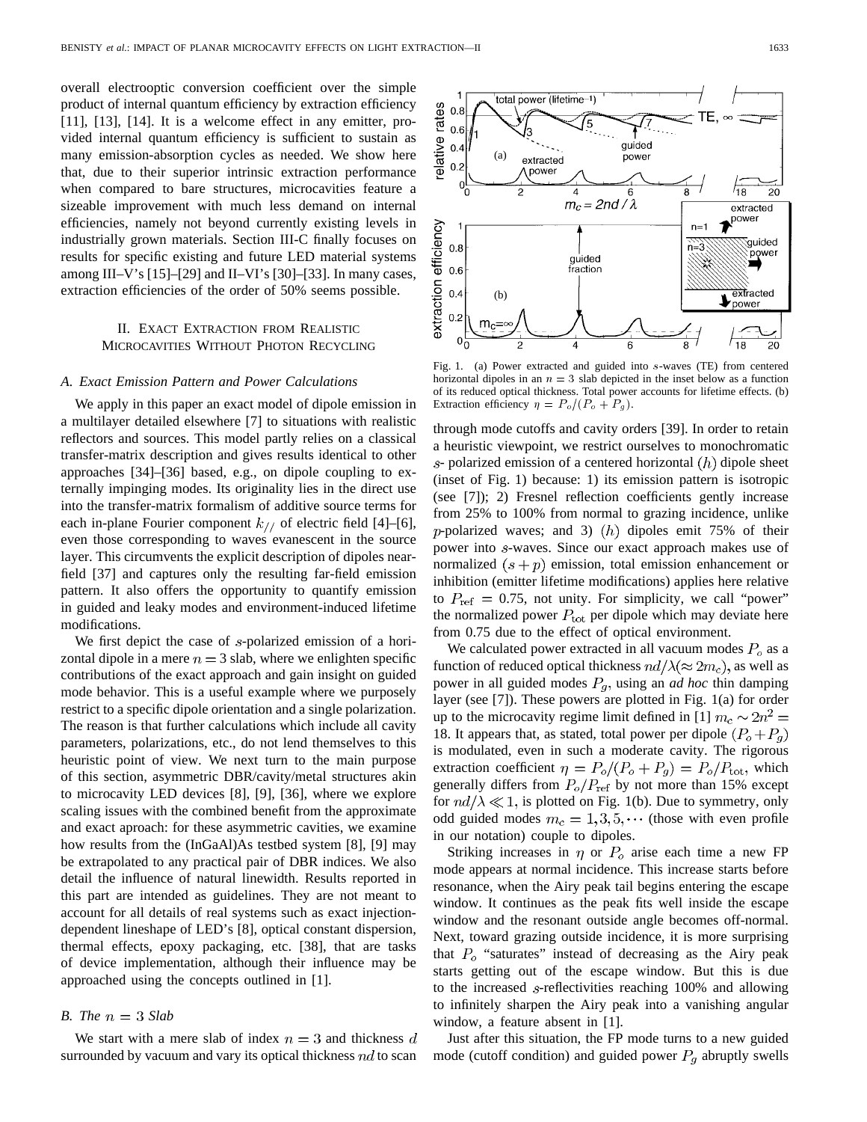overall electrooptic conversion coefficient over the simple product of internal quantum efficiency by extraction efficiency [11], [13], [14]. It is a welcome effect in any emitter, provided internal quantum efficiency is sufficient to sustain as many emission-absorption cycles as needed. We show here that, due to their superior intrinsic extraction performance when compared to bare structures, microcavities feature a sizeable improvement with much less demand on internal efficiencies, namely not beyond currently existing levels in industrially grown materials. Section III-C finally focuses on results for specific existing and future LED material systems among III–V's [15]–[29] and II–VI's [30]–[33]. In many cases, extraction efficiencies of the order of 50% seems possible.

# II. EXACT EXTRACTION FROM REALISTIC MICROCAVITIES WITHOUT PHOTON RECYCLING

## *A. Exact Emission Pattern and Power Calculations*

We apply in this paper an exact model of dipole emission in a multilayer detailed elsewhere [7] to situations with realistic reflectors and sources. This model partly relies on a classical transfer-matrix description and gives results identical to other approaches [34]–[36] based, e.g., on dipole coupling to externally impinging modes. Its originality lies in the direct use into the transfer-matrix formalism of additive source terms for each in-plane Fourier component  $k_{//}$  of electric field [4]–[6], even those corresponding to waves evanescent in the source layer. This circumvents the explicit description of dipoles nearfield [37] and captures only the resulting far-field emission pattern. It also offers the opportunity to quantify emission in guided and leaky modes and environment-induced lifetime modifications.

We first depict the case of  $s$ -polarized emission of a horizontal dipole in a mere  $n = 3$  slab, where we enlighten specific contributions of the exact approach and gain insight on guided mode behavior. This is a useful example where we purposely restrict to a specific dipole orientation and a single polarization. The reason is that further calculations which include all cavity parameters, polarizations, etc., do not lend themselves to this heuristic point of view. We next turn to the main purpose of this section, asymmetric DBR/cavity/metal structures akin to microcavity LED devices [8], [9], [36], where we explore scaling issues with the combined benefit from the approximate and exact aproach: for these asymmetric cavities, we examine how results from the (InGaAl)As testbed system [8], [9] may be extrapolated to any practical pair of DBR indices. We also detail the influence of natural linewidth. Results reported in this part are intended as guidelines. They are not meant to account for all details of real systems such as exact injectiondependent lineshape of LED's [8], optical constant dispersion, thermal effects, epoxy packaging, etc. [38], that are tasks of device implementation, although their influence may be approached using the concepts outlined in [1].

#### *B.* The  $n = 3$  Slab

We start with a mere slab of index  $n=3$  and thickness d surrounded by vacuum and vary its optical thickness  $nd$  to scan



Fig. 1. (a) Power extracted and guided into s-waves (TE) from centered horizontal dipoles in an  $n = 3$  slab depicted in the inset below as a function of its reduced optical thickness. Total power accounts for lifetime effects. (b) Extraction efficiency  $\eta = P_o/(P_o + P_g)$ .

through mode cutoffs and cavity orders [39]. In order to retain a heuristic viewpoint, we restrict ourselves to monochromatic s- polarized emission of a centered horizontal  $(h)$  dipole sheet (inset of Fig. 1) because: 1) its emission pattern is isotropic (see [7]); 2) Fresnel reflection coefficients gently increase from 25% to 100% from normal to grazing incidence, unlike  $p$ -polarized waves; and 3)  $(h)$  dipoles emit 75% of their power into s-waves. Since our exact approach makes use of normalized  $(s + p)$  emission, total emission enhancement or inhibition (emitter lifetime modifications) applies here relative to  $P_{\text{ref}} = 0.75$ , not unity. For simplicity, we call "power" the normalized power  $P_{\text{tot}}$  per dipole which may deviate here from 0.75 due to the effect of optical environment.

We calculated power extracted in all vacuum modes  $P<sub>o</sub>$  as a function of reduced optical thickness  $nd/\lambda (\approx 2m_c)$ , as well as power in all guided modes  $P_g$ , using an *ad hoc* thin damping layer (see [7]). These powers are plotted in Fig. 1(a) for order up to the microcavity regime limit defined in [1]  $m_c \sim 2n^2 =$ 18. It appears that, as stated, total power per dipole  $(P_o + P_a)$ is modulated, even in such a moderate cavity. The rigorous extraction coefficient  $\eta = P_o/(P_o + P_g) = P_o/P_{\text{tot}}$ , which generally differs from  $P_o/P_{\text{ref}}$  by not more than 15% except for  $\frac{nd}{\lambda} \ll 1$ , is plotted on Fig. 1(b). Due to symmetry, only odd guided modes  $m_c = 1, 3, 5, \cdots$  (those with even profile in our notation) couple to dipoles.

Striking increases in  $\eta$  or  $P_o$  arise each time a new FP mode appears at normal incidence. This increase starts before resonance, when the Airy peak tail begins entering the escape window. It continues as the peak fits well inside the escape window and the resonant outside angle becomes off-normal. Next, toward grazing outside incidence, it is more surprising that  $P<sub>o</sub>$  "saturates" instead of decreasing as the Airy peak starts getting out of the escape window. But this is due to the increased  $s$ -reflectivities reaching 100% and allowing to infinitely sharpen the Airy peak into a vanishing angular window, a feature absent in [1].

Just after this situation, the FP mode turns to a new guided mode (cutoff condition) and guided power  $P_g$  abruptly swells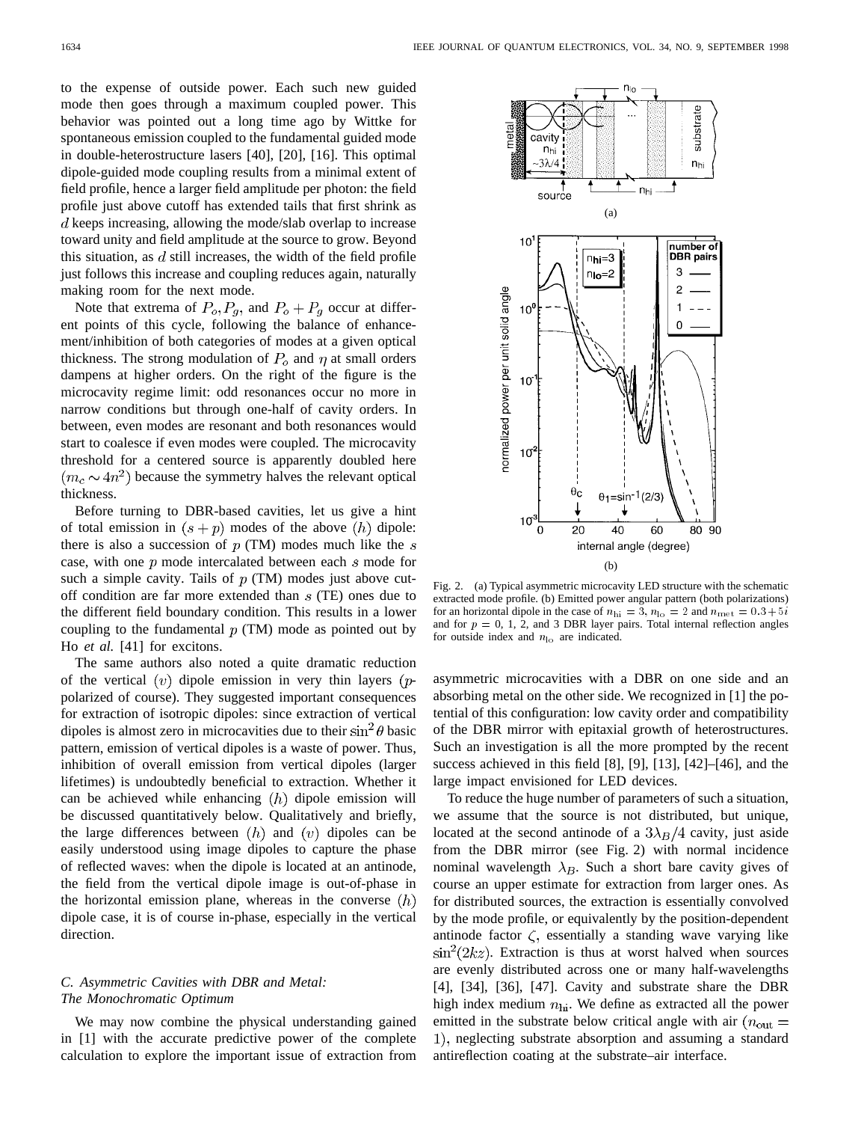to the expense of outside power. Each such new guided mode then goes through a maximum coupled power. This behavior was pointed out a long time ago by Wittke for spontaneous emission coupled to the fundamental guided mode in double-heterostructure lasers [40], [20], [16]. This optimal dipole-guided mode coupling results from a minimal extent of field profile, hence a larger field amplitude per photon: the field profile just above cutoff has extended tails that first shrink as  $d$  keeps increasing, allowing the mode/slab overlap to increase toward unity and field amplitude at the source to grow. Beyond this situation, as  $d$  still increases, the width of the field profile just follows this increase and coupling reduces again, naturally making room for the next mode.

Note that extrema of  $P_o, P_g$ , and  $P_o + P_g$  occur at different points of this cycle, following the balance of enhancement/inhibition of both categories of modes at a given optical thickness. The strong modulation of  $P<sub>o</sub>$  and  $\eta$  at small orders dampens at higher orders. On the right of the figure is the microcavity regime limit: odd resonances occur no more in narrow conditions but through one-half of cavity orders. In between, even modes are resonant and both resonances would start to coalesce if even modes were coupled. The microcavity threshold for a centered source is apparently doubled here  $(m_c \sim 4n^2)$  because the symmetry halves the relevant optical thickness.

Before turning to DBR-based cavities, let us give a hint of total emission in  $(s + p)$  modes of the above  $(h)$  dipole: there is also a succession of  $p(TM)$  modes much like the  $s$ case, with one  $p$  mode intercalated between each  $s$  mode for such a simple cavity. Tails of  $p(TM)$  modes just above cutoff condition are far more extended than  $s$  (TE) ones due to the different field boundary condition. This results in a lower coupling to the fundamental  $p$  (TM) mode as pointed out by Ho *et al.* [41] for excitons.

The same authors also noted a quite dramatic reduction of the vertical  $(v)$  dipole emission in very thin layers  $(p$ polarized of course). They suggested important consequences for extraction of isotropic dipoles: since extraction of vertical dipoles is almost zero in microcavities due to their  $\sin^2 \theta$  basic pattern, emission of vertical dipoles is a waste of power. Thus, inhibition of overall emission from vertical dipoles (larger lifetimes) is undoubtedly beneficial to extraction. Whether it can be achieved while enhancing  $(h)$  dipole emission will be discussed quantitatively below. Qualitatively and briefly, the large differences between  $(h)$  and  $(v)$  dipoles can be easily understood using image dipoles to capture the phase of reflected waves: when the dipole is located at an antinode, the field from the vertical dipole image is out-of-phase in the horizontal emission plane, whereas in the converse  $(h)$ dipole case, it is of course in-phase, especially in the vertical direction.

# *C. Asymmetric Cavities with DBR and Metal: The Monochromatic Optimum*

We may now combine the physical understanding gained in [1] with the accurate predictive power of the complete calculation to explore the important issue of extraction from



Fig. 2. (a) Typical asymmetric microcavity LED structure with the schematic extracted mode profile. (b) Emitted power angular pattern (both polarizations) for an horizontal dipole in the case of  $n_{\text{hi}} = 3, n_{\text{lo}} = 2$  and  $n_{\text{met}} = 0.3 + 5i$ and for  $p = 0, 1, 2$ , and 3 DBR layer pairs. Total internal reflection angles for outside index and  $n_{\text{lo}}$  are indicated.

asymmetric microcavities with a DBR on one side and an absorbing metal on the other side. We recognized in [1] the potential of this configuration: low cavity order and compatibility of the DBR mirror with epitaxial growth of heterostructures. Such an investigation is all the more prompted by the recent success achieved in this field [8], [9], [13], [42]–[46], and the large impact envisioned for LED devices.

To reduce the huge number of parameters of such a situation, we assume that the source is not distributed, but unique, located at the second antinode of a  $3\lambda_B/4$  cavity, just aside from the DBR mirror (see Fig. 2) with normal incidence nominal wavelength  $\lambda_B$ . Such a short bare cavity gives of course an upper estimate for extraction from larger ones. As for distributed sources, the extraction is essentially convolved by the mode profile, or equivalently by the position-dependent antinode factor  $\zeta$ , essentially a standing wave varying like  $\sin^2(2kz)$ . Extraction is thus at worst halved when sources are evenly distributed across one or many half-wavelengths [4], [34], [36], [47]. Cavity and substrate share the DBR high index medium  $n_{\text{hi}}$ . We define as extracted all the power emitted in the substrate below critical angle with air ( $n_{\text{out}} =$ 1), neglecting substrate absorption and assuming a standard antireflection coating at the substrate–air interface.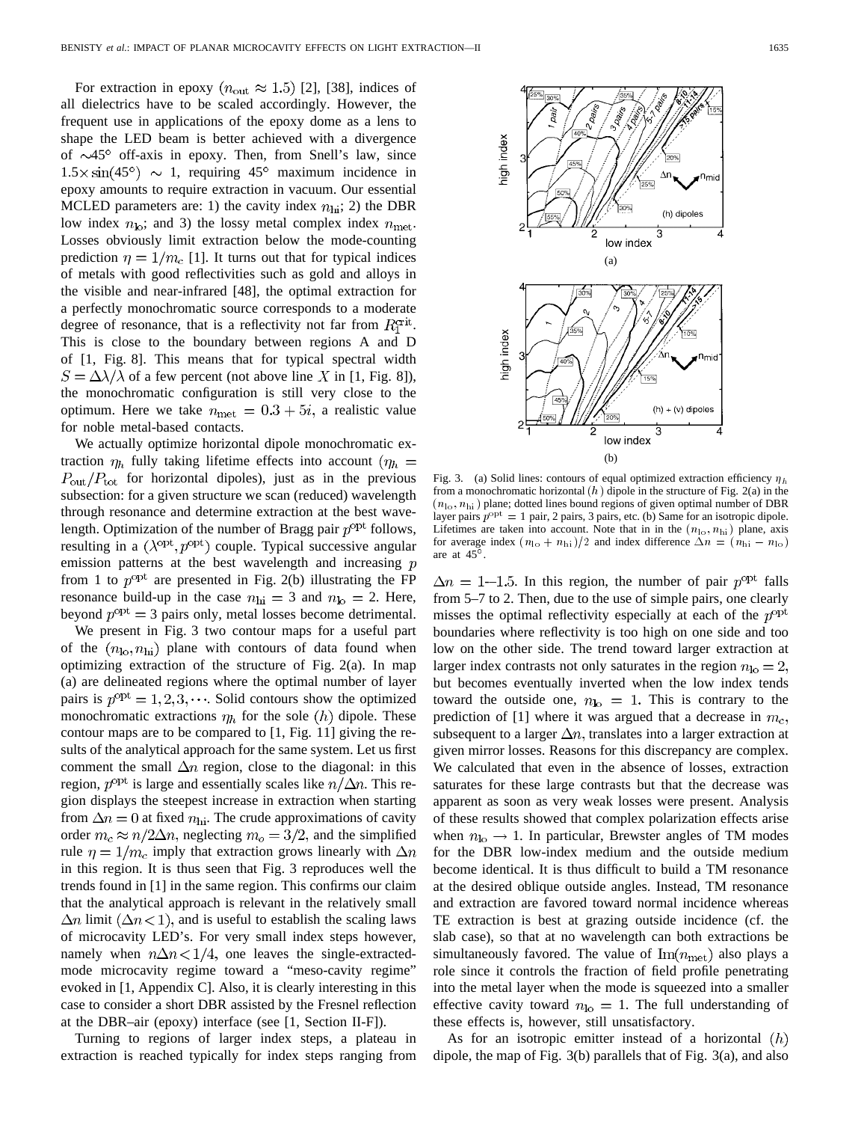For extraction in epoxy ( $n_{\text{out}} \approx 1.5$ ) [2], [38], indices of all dielectrics have to be scaled accordingly. However, the frequent use in applications of the epoxy dome as a lens to shape the LED beam is better achieved with a divergence of  $\sim$ 45° off-axis in epoxy. Then, from Snell's law, since  $1.5 \times \sin(45^\circ) \sim 1$ , requiring  $45^\circ$  maximum incidence in epoxy amounts to require extraction in vacuum. Our essential MCLED parameters are: 1) the cavity index  $n_{\text{hi}}$ ; 2) the DBR low index  $n_{\text{lo}}$ ; and 3) the lossy metal complex index  $n_{\text{met}}$ . Losses obviously limit extraction below the mode-counting prediction  $\eta = 1/m_c$  [1]. It turns out that for typical indices of metals with good reflectivities such as gold and alloys in the visible and near-infrared [48], the optimal extraction for a perfectly monochromatic source corresponds to a moderate degree of resonance, that is a reflectivity not far from  $R_1^{\text{crit}}$ . This is close to the boundary between regions A and D of [1, Fig. 8]. This means that for typical spectral width  $S = \Delta \lambda / \lambda$  of a few percent (not above line X in [1, Fig. 8]), the monochromatic configuration is still very close to the optimum. Here we take  $n_{\text{met}} = 0.3 + 5i$ , a realistic value for noble metal-based contacts.

We actually optimize horizontal dipole monochromatic extraction  $\eta_h$  fully taking lifetime effects into account ( $\eta_h$  =  $P_{\text{out}}/P_{\text{tot}}$  for horizontal dipoles), just as in the previous subsection: for a given structure we scan (reduced) wavelength through resonance and determine extraction at the best wavelength. Optimization of the number of Bragg pair  $p^{\text{opt}}$  follows, resulting in a  $(\lambda^{\text{opt}}, p^{\text{opt}})$  couple. Typical successive angular emission patterns at the best wavelength and increasing  $p$ from 1 to  $p^{\text{opt}}$  are presented in Fig. 2(b) illustrating the FP resonance build-up in the case  $n_{\text{hi}} = 3$  and  $n_{\text{lo}} = 2$ . Here, beyond  $p^{\text{opt}} = 3$  pairs only, metal losses become detrimental.

We present in Fig. 3 two contour maps for a useful part of the  $(n_{\text{lo}}, n_{\text{hi}})$  plane with contours of data found when optimizing extraction of the structure of Fig. 2(a). In map (a) are delineated regions where the optimal number of layer pairs is  $p^{\text{opt}} = 1, 2, 3, \cdots$ . Solid contours show the optimized monochromatic extractions  $\eta_h$  for the sole  $(h)$  dipole. These contour maps are to be compared to [1, Fig. 11] giving the results of the analytical approach for the same system. Let us first comment the small  $\Delta n$  region, close to the diagonal: in this region,  $p^{\text{opt}}$  is large and essentially scales like  $n/\Delta n$ . This region displays the steepest increase in extraction when starting from  $\Delta n = 0$  at fixed  $n_{\text{hi}}$ . The crude approximations of cavity order  $m_c \approx n/2\Delta n$ , neglecting  $m_o = 3/2$ , and the simplified rule  $\eta = 1/m_c$  imply that extraction grows linearly with  $\Delta n$ in this region. It is thus seen that Fig. 3 reproduces well the trends found in [1] in the same region. This confirms our claim that the analytical approach is relevant in the relatively small  $\Delta n$  limit  $(\Delta n < 1)$ , and is useful to establish the scaling laws of microcavity LED's. For very small index steps however, namely when  $n\Delta n < 1/4$ , one leaves the single-extractedmode microcavity regime toward a "meso-cavity regime" evoked in [1, Appendix C]. Also, it is clearly interesting in this case to consider a short DBR assisted by the Fresnel reflection at the DBR–air (epoxy) interface (see [1, Section II-F]).

Turning to regions of larger index steps, a plateau in extraction is reached typically for index steps ranging from

Fig. 3. (a) Solid lines: contours of equal optimized extraction efficiency  $\eta_h$ from a monochromatic horizontal  $(h)$  dipole in the structure of Fig. 2(a) in the  $(n_{\text{lo}}, n_{\text{hi}})$  plane; dotted lines bound regions of given optimal number of DBR layer pairs  $p^{\text{opt}} = 1$  pair, 2 pairs, 3 pairs, etc. (b) Same for an isotropic dipole. Lifetimes are taken into account. Note that in in the  $(n_{\text{lo}}, n_{\text{hi}})$  plane, axis  $(n_{\text{lo}}, n_{\text{hi}})$  plane; dotted lines bound regions of given optimal number of DBR<br>layer pairs  $p^{\text{opt}} = 1$  pair, 2 pairs, 3 pairs, etc. (b) Same for an isotropic dipole.<br>Lifetimes are taken into account. Note that in in for average index  $(n_{\text{lo}} + n_{\text{hi}})/2$  and index difference  $\Delta n = (n_{\text{hi}} - n_{\text{lo}})$ <br>are at 45°.

 $\Delta n = 1$ -1.5. In this region, the number of pair  $p^{\text{opt}}$  falls from 5–7 to 2. Then, due to the use of simple pairs, one clearly misses the optimal reflectivity especially at each of the  $p^{\text{opt}}$ boundaries where reflectivity is too high on one side and too low on the other side. The trend toward larger extraction at larger index contrasts not only saturates in the region  $n_{\text{lo}} = 2$ , but becomes eventually inverted when the low index tends toward the outside one,  $n_{\text{lo}} = 1$ . This is contrary to the prediction of [1] where it was argued that a decrease in  $m_c$ , subsequent to a larger  $\Delta n$ , translates into a larger extraction at given mirror losses. Reasons for this discrepancy are complex. We calculated that even in the absence of losses, extraction saturates for these large contrasts but that the decrease was apparent as soon as very weak losses were present. Analysis of these results showed that complex polarization effects arise when  $n_{\text{lo}} \rightarrow 1$ . In particular, Brewster angles of TM modes for the DBR low-index medium and the outside medium become identical. It is thus difficult to build a TM resonance at the desired oblique outside angles. Instead, TM resonance and extraction are favored toward normal incidence whereas TE extraction is best at grazing outside incidence (cf. the slab case), so that at no wavelength can both extractions be simultaneously favored. The value of  $\text{Im}(n_{\text{met}})$  also plays a role since it controls the fraction of field profile penetrating into the metal layer when the mode is squeezed into a smaller effective cavity toward  $n_{\text{lo}} = 1$ . The full understanding of these effects is, however, still unsatisfactory.

As for an isotropic emitter instead of a horizontal  $(h)$ dipole, the map of Fig. 3(b) parallels that of Fig. 3(a), and also

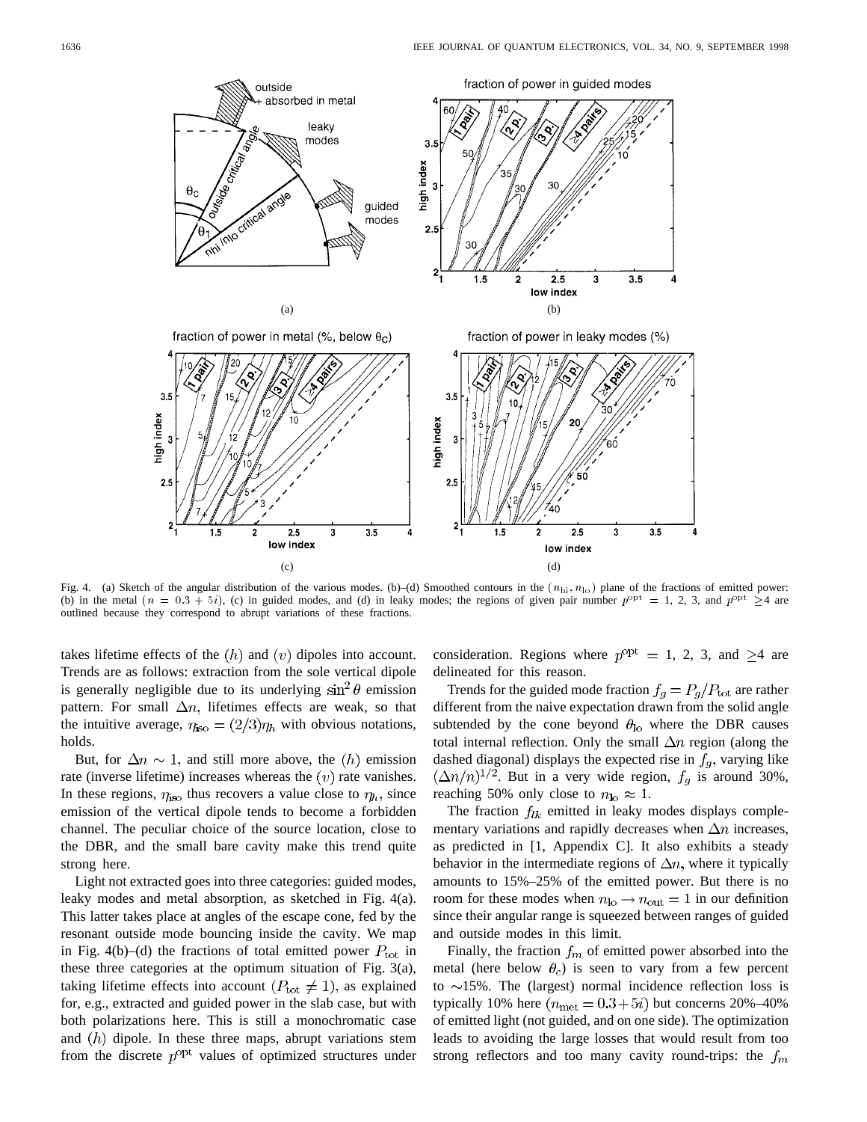

Fig. 4. (a) Sketch of the angular distribution of the various modes. (b)–(d) Smoothed contours in the  $(n_{hi}, n_{lo})$  plane of the fractions of emitted power: (b) in the metal  $(n = 0.3 + 5i)$ , (c) in guided modes, and (d) in leaky modes; the regions of given pair number  $p^{\text{opt}} = 1$ , 2, 3, and  $p^{\text{opt}} \ge 4$  are outlined because they correspond to abrupt variations of these fractions.

takes lifetime effects of the  $(h)$  and  $(v)$  dipoles into account. Trends are as follows: extraction from the sole vertical dipole is generally negligible due to its underlying  $\sin^2 \theta$  emission pattern. For small  $\Delta n$ , lifetimes effects are weak, so that the intuitive average,  $\eta_{\text{iso}} = (2/3)\eta_h$  with obvious notations, holds.

But, for  $\Delta n \sim 1$ , and still more above, the  $(h)$  emission rate (inverse lifetime) increases whereas the  $(v)$  rate vanishes. In these regions,  $\eta_{\text{iso}}$  thus recovers a value close to  $\eta_h$ , since emission of the vertical dipole tends to become a forbidden channel. The peculiar choice of the source location, close to the DBR, and the small bare cavity make this trend quite strong here.

Light not extracted goes into three categories: guided modes, leaky modes and metal absorption, as sketched in Fig. 4(a). This latter takes place at angles of the escape cone, fed by the resonant outside mode bouncing inside the cavity. We map in Fig. 4(b)–(d) the fractions of total emitted power  $P_{\text{tot}}$  in these three categories at the optimum situation of Fig. 3(a), taking lifetime effects into account  $(P_{\text{tot}} \neq 1)$ , as explained for, e.g., extracted and guided power in the slab case, but with both polarizations here. This is still a monochromatic case and  $(h)$  dipole. In these three maps, abrupt variations stem from the discrete  $p^{\text{opt}}$  values of optimized structures under consideration. Regions where  $p^{\text{opt}} = 1, 2, 3, \text{ and } \geq 4$  are delineated for this reason.

Trends for the guided mode fraction  $f_g = P_g/P_{\text{tot}}$  are rather different from the naive expectation drawn from the solid angle subtended by the cone beyond  $\theta_{\rm lo}$  where the DBR causes total internal reflection. Only the small  $\Delta n$  region (along the dashed diagonal) displays the expected rise in  $f<sub>g</sub>$ , varying like  $(\Delta n/n)^{1/2}$ . But in a very wide region,  $f_g$  is around 30%, reaching 50% only close to  $n_{\text{lo}} \approx 1$ .

The fraction  $f_{lk}$  emitted in leaky modes displays complementary variations and rapidly decreases when  $\Delta n$  increases, as predicted in [1, Appendix C]. It also exhibits a steady behavior in the intermediate regions of  $\Delta n$ , where it typically amounts to 15%–25% of the emitted power. But there is no room for these modes when  $n_{\text{lo}} \rightarrow n_{\text{out}} = 1$  in our definition since their angular range is squeezed between ranges of guided and outside modes in this limit.

Finally, the fraction  $f_m$  of emitted power absorbed into the metal (here below  $\theta_c$ ) is seen to vary from a few percent to  $\sim$ 15%. The (largest) normal incidence reflection loss is typically 10% here ( $n_{\text{met}} = 0.3 + 5i$ ) but concerns 20%–40% of emitted light (not guided, and on one side). The optimization leads to avoiding the large losses that would result from too strong reflectors and too many cavity round-trips: the  $f_m$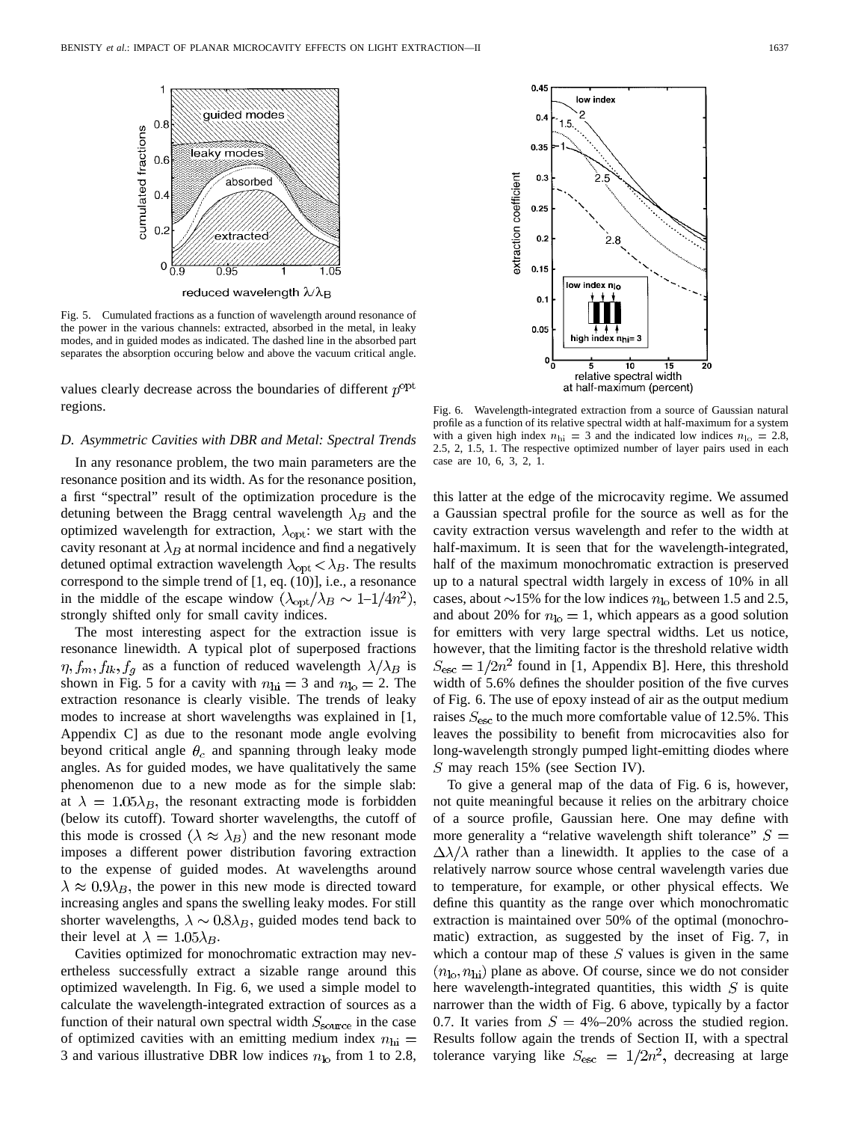

Fig. 5. Cumulated fractions as a function of wavelength around resonance of the power in the various channels: extracted, absorbed in the metal, in leaky modes, and in guided modes as indicated. The dashed line in the absorbed part separates the absorption occuring below and above the vacuum critical angle.

values clearly decrease across the boundaries of different  $p^{\text{opt}}$ regions.

#### *D. Asymmetric Cavities with DBR and Metal: Spectral Trends*

In any resonance problem, the two main parameters are the resonance position and its width. As for the resonance position, a first "spectral" result of the optimization procedure is the detuning between the Bragg central wavelength  $\lambda_B$  and the optimized wavelength for extraction,  $\lambda_{\text{opt}}$ : we start with the cavity resonant at  $\lambda_B$  at normal incidence and find a negatively detuned optimal extraction wavelength  $\lambda_{opt} < \lambda_B$ . The results correspond to the simple trend of [1, eq. (10)], i.e., a resonance in the middle of the escape window  $(\lambda_{\rm opt}/\lambda_B \sim 1 - 1/4n^2)$ , strongly shifted only for small cavity indices.

The most interesting aspect for the extraction issue is resonance linewidth. A typical plot of superposed fractions  $\eta$ ,  $f_m$ ,  $f_{lk}$ ,  $f_g$  as a function of reduced wavelength  $\lambda/\lambda_B$  is shown in Fig. 5 for a cavity with  $n_{\text{hi}} = 3$  and  $n_{\text{lo}} = 2$ . The extraction resonance is clearly visible. The trends of leaky modes to increase at short wavelengths was explained in [1, Appendix C] as due to the resonant mode angle evolving beyond critical angle  $\theta_c$  and spanning through leaky mode angles. As for guided modes, we have qualitatively the same phenomenon due to a new mode as for the simple slab: at  $\lambda = 1.05\lambda_B$ , the resonant extracting mode is forbidden (below its cutoff). Toward shorter wavelengths, the cutoff of this mode is crossed  $(\lambda \approx \lambda_B)$  and the new resonant mode imposes a different power distribution favoring extraction to the expense of guided modes. At wavelengths around  $\lambda \approx 0.9 \lambda_B$ , the power in this new mode is directed toward increasing angles and spans the swelling leaky modes. For still shorter wavelengths,  $\lambda \sim 0.8 \lambda_B$ , guided modes tend back to their level at  $\lambda = 1.05 \lambda_B$ .

Cavities optimized for monochromatic extraction may nevertheless successfully extract a sizable range around this optimized wavelength. In Fig. 6, we used a simple model to calculate the wavelength-integrated extraction of sources as a function of their natural own spectral width  $S_{\text{source}}$  in the case of optimized cavities with an emitting medium index  $n_{\text{hi}} =$ 3 and various illustrative DBR low indices  $n_{\text{lo}}$  from 1 to 2.8,



Fig. 6. Wavelength-integrated extraction from a source of Gaussian natural profile as a function of its relative spectral width at half-maximum for a system with a given high index  $n_{\text{hi}} = 3$  and the indicated low indices  $n_{\text{lo}} = 2.8$ , 2.5, 2, 1.5, 1. The respective optimized number of layer pairs used in each case are 10, 6, 3, 2, 1.

this latter at the edge of the microcavity regime. We assumed a Gaussian spectral profile for the source as well as for the cavity extraction versus wavelength and refer to the width at half-maximum. It is seen that for the wavelength-integrated, half of the maximum monochromatic extraction is preserved up to a natural spectral width largely in excess of 10% in all cases, about  $\sim$ 15% for the low indices  $n_{\text{lo}}$  between 1.5 and 2.5, and about 20% for  $n_{\text{lo}} = 1$ , which appears as a good solution for emitters with very large spectral widths. Let us notice, however, that the limiting factor is the threshold relative width  $S_{\text{esc}} = 1/2n^2$  found in [1, Appendix B]. Here, this threshold width of 5.6% defines the shoulder position of the five curves of Fig. 6. The use of epoxy instead of air as the output medium raises  $S_{\text{esc}}$  to the much more comfortable value of 12.5%. This leaves the possibility to benefit from microcavities also for long-wavelength strongly pumped light-emitting diodes where  $S$  may reach 15% (see Section IV).

To give a general map of the data of Fig. 6 is, however, not quite meaningful because it relies on the arbitrary choice of a source profile, Gaussian here. One may define with more generality a "relative wavelength shift tolerance"  $S =$  $\Delta\lambda/\lambda$  rather than a linewidth. It applies to the case of a relatively narrow source whose central wavelength varies due to temperature, for example, or other physical effects. We define this quantity as the range over which monochromatic extraction is maintained over 50% of the optimal (monochromatic) extraction, as suggested by the inset of Fig. 7, in which a contour map of these  $S$  values is given in the same  $(n_{\text{lo}}, n_{\text{hi}})$  plane as above. Of course, since we do not consider here wavelength-integrated quantities, this width  $S$  is quite narrower than the width of Fig. 6 above, typically by a factor 0.7. It varies from  $S = 4\% - 20\%$  across the studied region. Results follow again the trends of Section II, with a spectral tolerance varying like  $S_{\text{esc}} = 1/2n^2$ , decreasing at large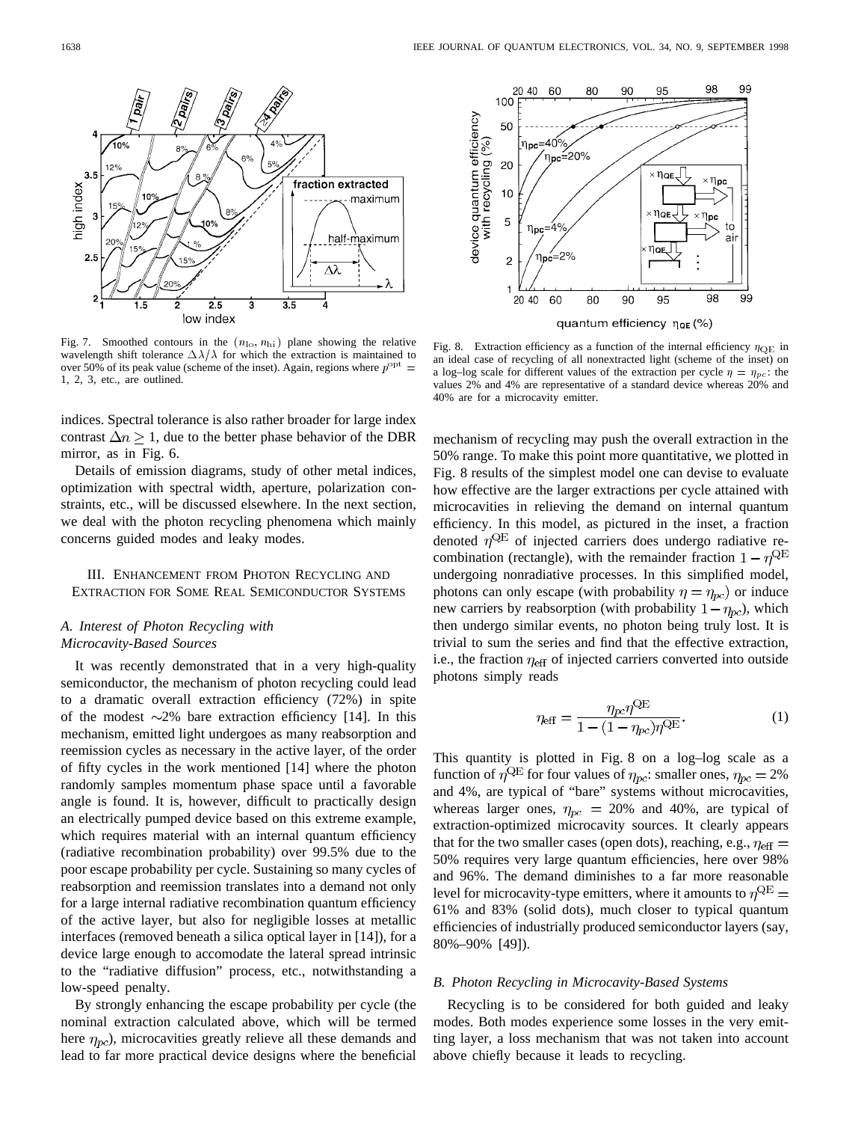

Fig. 7. Smoothed contours in the  $(n_{\text{lo}}, n_{\text{hi}})$  plane showing the relative wavelength shift tolerance  $\Delta \lambda / \lambda$  for which the extraction is maintained to over 50% of its peak value (scheme of the inset). Again, regions where  $p^{\text{opt}}$ 1, 2, 3, etc., are outlined.

indices. Spectral tolerance is also rather broader for large index contrast  $\Delta n \geq 1$ , due to the better phase behavior of the DBR mirror, as in Fig. 6.

Details of emission diagrams, study of other metal indices, optimization with spectral width, aperture, polarization constraints, etc., will be discussed elsewhere. In the next section, we deal with the photon recycling phenomena which mainly concerns guided modes and leaky modes.

## III. ENHANCEMENT FROM PHOTON RECYCLING AND EXTRACTION FOR SOME REAL SEMICONDUCTOR SYSTEMS

## *A. Interest of Photon Recycling with Microcavity-Based Sources*

It was recently demonstrated that in a very high-quality semiconductor, the mechanism of photon recycling could lead to a dramatic overall extraction efficiency (72%) in spite of the modest  $\sim$ 2% bare extraction efficiency [14]. In this mechanism, emitted light undergoes as many reabsorption and reemission cycles as necessary in the active layer, of the order of fifty cycles in the work mentioned [14] where the photon randomly samples momentum phase space until a favorable angle is found. It is, however, difficult to practically design an electrically pumped device based on this extreme example, which requires material with an internal quantum efficiency (radiative recombination probability) over 99.5% due to the poor escape probability per cycle. Sustaining so many cycles of reabsorption and reemission translates into a demand not only for a large internal radiative recombination quantum efficiency of the active layer, but also for negligible losses at metallic interfaces (removed beneath a silica optical layer in [14]), for a device large enough to accomodate the lateral spread intrinsic to the "radiative diffusion" process, etc., notwithstanding a low-speed penalty.

By strongly enhancing the escape probability per cycle (the nominal extraction calculated above, which will be termed here  $\eta_{pc}$ ), microcavities greatly relieve all these demands and lead to far more practical device designs where the beneficial



quantum efficiency η αε (%)

Fig. 8. Extraction efficiency as a function of the internal efficiency  $\eta_{\text{OE}}$  in an ideal case of recycling of all nonextracted light (scheme of the inset) on a log–log scale for different values of the extraction per cycle  $\eta = \eta_{pc}$ : the values 2% and 4% are representative of a standard device whereas 20% and 40% are for a microcavity emitter.

mechanism of recycling may push the overall extraction in the 50% range. To make this point more quantitative, we plotted in Fig. 8 results of the simplest model one can devise to evaluate how effective are the larger extractions per cycle attained with microcavities in relieving the demand on internal quantum efficiency. In this model, as pictured in the inset, a fraction denoted  $\eta^{\text{QE}}$  of injected carriers does undergo radiative recombination (rectangle), with the remainder fraction  $1 - \eta^{QE}$ undergoing nonradiative processes. In this simplified model, photons can only escape (with probability  $\eta = \eta_{pc}$ ) or induce new carriers by reabsorption (with probability  $1 - \eta_{\text{pc}}$ ), which then undergo similar events, no photon being truly lost. It is trivial to sum the series and find that the effective extraction, i.e., the fraction  $\eta_{\text{eff}}$  of injected carriers converted into outside photons simply reads

$$
\eta_{\text{eff}} = \frac{\eta_{pc} \eta^{\text{QE}}}{1 - (1 - \eta_{pc}) \eta^{\text{QE}}}.
$$
\n(1)

This quantity is plotted in Fig. 8 on a log–log scale as a function of  $\eta^{\text{QE}}$  for four values of  $\eta_{pc}$ : smaller ones,  $\eta_{pc} = 2\%$ and 4%, are typical of "bare" systems without microcavities, whereas larger ones,  $\eta_{pc} = 20\%$  and 40%, are typical of extraction-optimized microcavity sources. It clearly appears that for the two smaller cases (open dots), reaching, e.g.,  $\eta_{\text{eff}} =$ 50% requires very large quantum efficiencies, here over 98% and 96%. The demand diminishes to a far more reasonable level for microcavity-type emitters, where it amounts to  $\eta^{\text{QE}} =$ 61% and 83% (solid dots), much closer to typical quantum efficiencies of industrially produced semiconductor layers (say, 80%–90% [49]).

#### *B. Photon Recycling in Microcavity-Based Systems*

Recycling is to be considered for both guided and leaky modes. Both modes experience some losses in the very emitting layer, a loss mechanism that was not taken into account above chiefly because it leads to recycling.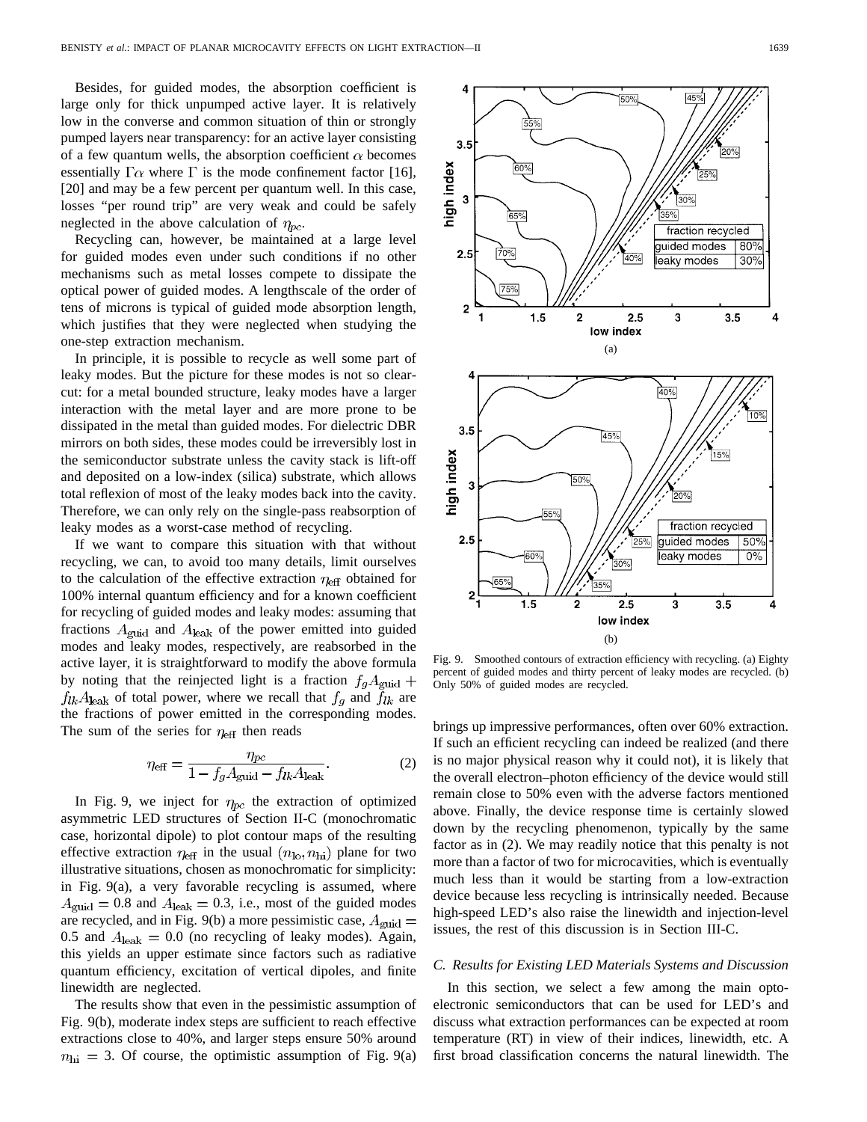Besides, for guided modes, the absorption coefficient is large only for thick unpumped active layer. It is relatively low in the converse and common situation of thin or strongly pumped layers near transparency: for an active layer consisting of a few quantum wells, the absorption coefficient  $\alpha$  becomes essentially  $\Gamma \alpha$  where  $\Gamma$  is the mode confinement factor [16], [20] and may be a few percent per quantum well. In this case, losses "per round trip" are very weak and could be safely neglected in the above calculation of  $\eta_{\text{pc}}$ .

Recycling can, however, be maintained at a large level for guided modes even under such conditions if no other mechanisms such as metal losses compete to dissipate the optical power of guided modes. A lengthscale of the order of tens of microns is typical of guided mode absorption length, which justifies that they were neglected when studying the one-step extraction mechanism.

In principle, it is possible to recycle as well some part of leaky modes. But the picture for these modes is not so clearcut: for a metal bounded structure, leaky modes have a larger interaction with the metal layer and are more prone to be dissipated in the metal than guided modes. For dielectric DBR mirrors on both sides, these modes could be irreversibly lost in the semiconductor substrate unless the cavity stack is lift-off and deposited on a low-index (silica) substrate, which allows total reflexion of most of the leaky modes back into the cavity. Therefore, we can only rely on the single-pass reabsorption of leaky modes as a worst-case method of recycling.

If we want to compare this situation with that without recycling, we can, to avoid too many details, limit ourselves to the calculation of the effective extraction  $\eta_{\text{eff}}$  obtained for 100% internal quantum efficiency and for a known coefficient for recycling of guided modes and leaky modes: assuming that fractions  $A_{\text{guide}}$  and  $A_{\text{leak}}$  of the power emitted into guided modes and leaky modes, respectively, are reabsorbed in the active layer, it is straightforward to modify the above formula by noting that the reinjected light is a fraction  $f_g A_{\text{grid}}$  +  $f_{lk}A_{\text{leak}}$  of total power, where we recall that  $f_g$  and  $f_{lk}$  are the fractions of power emitted in the corresponding modes. The sum of the series for  $\eta_{\text{eff}}$  then reads

$$
\eta_{\text{eff}} = \frac{\eta_{pc}}{1 - f_g A_{\text{guid}} - f_{lk} A_{\text{leak}}}.\tag{2}
$$

In Fig. 9, we inject for  $\eta_{pc}$  the extraction of optimized asymmetric LED structures of Section II-C (monochromatic case, horizontal dipole) to plot contour maps of the resulting effective extraction  $\eta_{\text{eff}}$  in the usual  $(n_{\text{lo}}, n_{\text{hi}})$  plane for two illustrative situations, chosen as monochromatic for simplicity: in Fig. 9(a), a very favorable recycling is assumed, where  $A_{\text{grid}} = 0.8$  and  $A_{\text{leak}} = 0.3$ , i.e., most of the guided modes are recycled, and in Fig. 9(b) a more pessimistic case,  $A_{\text{grid}} =$ 0.5 and  $A_{\text{leak}} = 0.0$  (no recycling of leaky modes). Again, this yields an upper estimate since factors such as radiative quantum efficiency, excitation of vertical dipoles, and finite linewidth are neglected.

The results show that even in the pessimistic assumption of Fig. 9(b), moderate index steps are sufficient to reach effective extractions close to 40%, and larger steps ensure 50% around  $n_{\text{hi}} = 3$ . Of course, the optimistic assumption of Fig. 9(a)



Fig. 9. Smoothed contours of extraction efficiency with recycling. (a) Eighty percent of guided modes and thirty percent of leaky modes are recycled. (b) Only 50% of guided modes are recycled.

brings up impressive performances, often over 60% extraction. If such an efficient recycling can indeed be realized (and there is no major physical reason why it could not), it is likely that the overall electron–photon efficiency of the device would still remain close to 50% even with the adverse factors mentioned above. Finally, the device response time is certainly slowed down by the recycling phenomenon, typically by the same factor as in (2). We may readily notice that this penalty is not more than a factor of two for microcavities, which is eventually much less than it would be starting from a low-extraction device because less recycling is intrinsically needed. Because high-speed LED's also raise the linewidth and injection-level issues, the rest of this discussion is in Section III-C.

## *C. Results for Existing LED Materials Systems and Discussion*

In this section, we select a few among the main optoelectronic semiconductors that can be used for LED's and discuss what extraction performances can be expected at room temperature (RT) in view of their indices, linewidth, etc. A first broad classification concerns the natural linewidth. The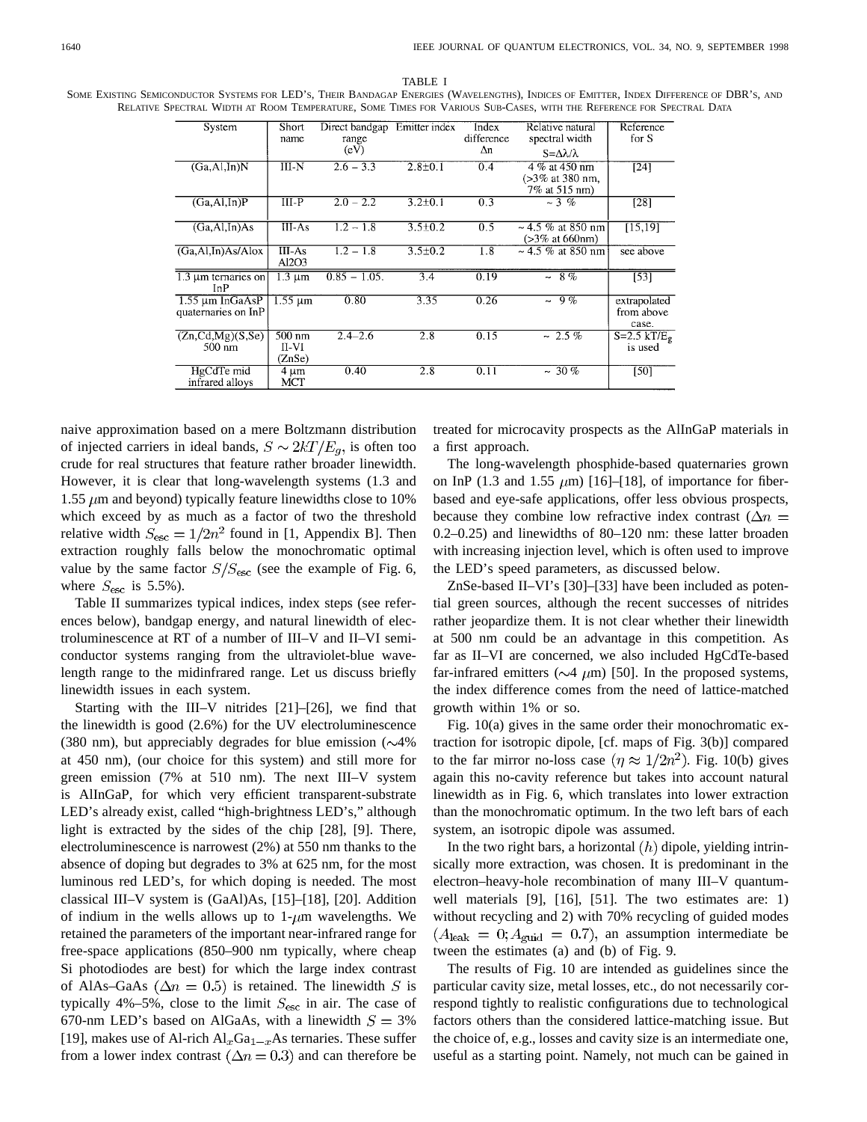| System                                                 | Short<br>name               | Direct bandgap<br>range<br>(eV) | Emitter index | Index<br>difference<br>Λn | Relative natural<br>spectral width<br>$S = \Delta \lambda / \lambda$ | Reference<br>for S                   |
|--------------------------------------------------------|-----------------------------|---------------------------------|---------------|---------------------------|----------------------------------------------------------------------|--------------------------------------|
| (Ga, Al, In)N                                          | $III-N$                     | $2.6 - 3.3$                     | $2.8 \pm 0.1$ | 0.4                       | 4 % at 450 nm<br>$(>3\%$ at 380 nm,<br>7% at 515 nm)                 | [24]                                 |
| (Ga, A1, In)P                                          | III-P                       | $2.0 - 2.2$                     | $3.2 \pm 0.1$ | 0.3                       | ~13.96                                                               | [28]                                 |
| (Ga, Al, In)As                                         | $III-As$                    | $1.2 - 1.8$                     | $3.5 \pm 0.2$ | 0.5                       | $\sim$ 4.5 % at 850 nm<br>$(>3\% \text{ at } 660 \text{nm})$         | [15, 19]                             |
| (Ga, Al, In) As/Alox                                   | $III-As$<br>Al2O3           | $1.2 - 1.8$                     | $3.5 \pm 0.2$ | 1.8                       | $\sim$ 4.5 % at 850 nm                                               | see above                            |
| $1.3 \mu m$ ternaries on<br>InP                        | $1.3 \mu m$                 | $0.85 - 1.05$ .                 | 3.4           | 0.19                      | $\sim 8\%$                                                           | $\overline{53}$                      |
| $1.55 \mu m \overline{lnGaAsP}$<br>quaternaries on InP | $1.55 \mu m$                | 0.80                            | 3.35          | 0.26                      | $-9%$                                                                | extrapolated<br>from above<br>case.  |
| (Zn, Cd, Mg)(S, Se)<br>500 nm                          | $500$ nm<br>II-VI<br>(ZnSe) | $2.4 - 2.6$                     | 2.8           | 0.15                      | $-2.5\%$                                                             | $S=2.5$ kT/E <sub>o</sub><br>is used |
| HgCdTe mid<br>infrared alloys                          | 4 µm<br>MCT                 | 0.40                            | 2.8           | 0.11                      | $~10\%$                                                              | [50]                                 |

naive approximation based on a mere Boltzmann distribution of injected carriers in ideal bands,  $S \sim 2kT/E_q$ , is often too crude for real structures that feature rather broader linewidth. However, it is clear that long-wavelength systems (1.3 and 1.55  $\mu$ m and beyond) typically feature linewidths close to 10% which exceed by as much as a factor of two the threshold relative width  $S_{\text{esc}} = 1/2n^2$  found in [1, Appendix B]. Then extraction roughly falls below the monochromatic optimal value by the same factor  $S/S_{\text{esc}}$  (see the example of Fig. 6, where  $S_{\text{esc}}$  is 5.5%).

Table II summarizes typical indices, index steps (see references below), bandgap energy, and natural linewidth of electroluminescence at RT of a number of III–V and II–VI semiconductor systems ranging from the ultraviolet-blue wavelength range to the midinfrared range. Let us discuss briefly linewidth issues in each system.

Starting with the III–V nitrides [21]–[26], we find that the linewidth is good (2.6%) for the UV electroluminescence (380 nm), but appreciably degrades for blue emission  $(\sim 4\%)$ at 450 nm), (our choice for this system) and still more for green emission (7% at 510 nm). The next III–V system is AlInGaP, for which very efficient transparent-substrate LED's already exist, called "high-brightness LED's," although light is extracted by the sides of the chip [28], [9]. There, electroluminescence is narrowest (2%) at 550 nm thanks to the absence of doping but degrades to 3% at 625 nm, for the most luminous red LED's, for which doping is needed. The most classical III–V system is (GaAl)As, [15]–[18], [20]. Addition of indium in the wells allows up to  $1-\mu m$  wavelengths. We retained the parameters of the important near-infrared range for free-space applications (850–900 nm typically, where cheap Si photodiodes are best) for which the large index contrast of AlAs–GaAs ( $\Delta n = 0.5$ ) is retained. The linewidth S is typically 4%–5%, close to the limit  $S_{\text{esc}}$  in air. The case of 670-nm LED's based on AlGaAs, with a linewidth  $S = 3\%$ [19], makes use of Al-rich  $Al_xGa_{1-x}As$  ternaries. These suffer from a lower index contrast  $(\Delta n = 0.3)$  and can therefore be treated for microcavity prospects as the AlInGaP materials in a first approach.

The long-wavelength phosphide-based quaternaries grown on InP (1.3 and 1.55  $\mu$ m) [16]–[18], of importance for fiberbased and eye-safe applications, offer less obvious prospects, because they combine low refractive index contrast ( $\Delta n =$ 0.2–0.25) and linewidths of 80–120 nm: these latter broaden with increasing injection level, which is often used to improve the LED's speed parameters, as discussed below.

ZnSe-based II–VI's [30]–[33] have been included as potential green sources, although the recent successes of nitrides rather jeopardize them. It is not clear whether their linewidth at 500 nm could be an advantage in this competition. As far as II–VI are concerned, we also included HgCdTe-based far-infrared emitters ( $\sim$ 4  $\mu$ m) [50]. In the proposed systems, the index difference comes from the need of lattice-matched growth within 1% or so.

Fig. 10(a) gives in the same order their monochromatic extraction for isotropic dipole, [cf. maps of Fig. 3(b)] compared to the far mirror no-loss case  $(\eta \approx 1/2n^2)$ . Fig. 10(b) gives again this no-cavity reference but takes into account natural linewidth as in Fig. 6, which translates into lower extraction than the monochromatic optimum. In the two left bars of each system, an isotropic dipole was assumed.

In the two right bars, a horizontal  $(h)$  dipole, yielding intrinsically more extraction, was chosen. It is predominant in the electron–heavy-hole recombination of many III–V quantumwell materials [9], [16], [51]. The two estimates are: 1) without recycling and 2) with 70% recycling of guided modes  $(A_{\text{leak}} = 0; A_{\text{guide}} = 0.7)$ , an assumption intermediate be tween the estimates (a) and (b) of Fig. 9.

The results of Fig. 10 are intended as guidelines since the particular cavity size, metal losses, etc., do not necessarily correspond tightly to realistic configurations due to technological factors others than the considered lattice-matching issue. But the choice of, e.g., losses and cavity size is an intermediate one, useful as a starting point. Namely, not much can be gained in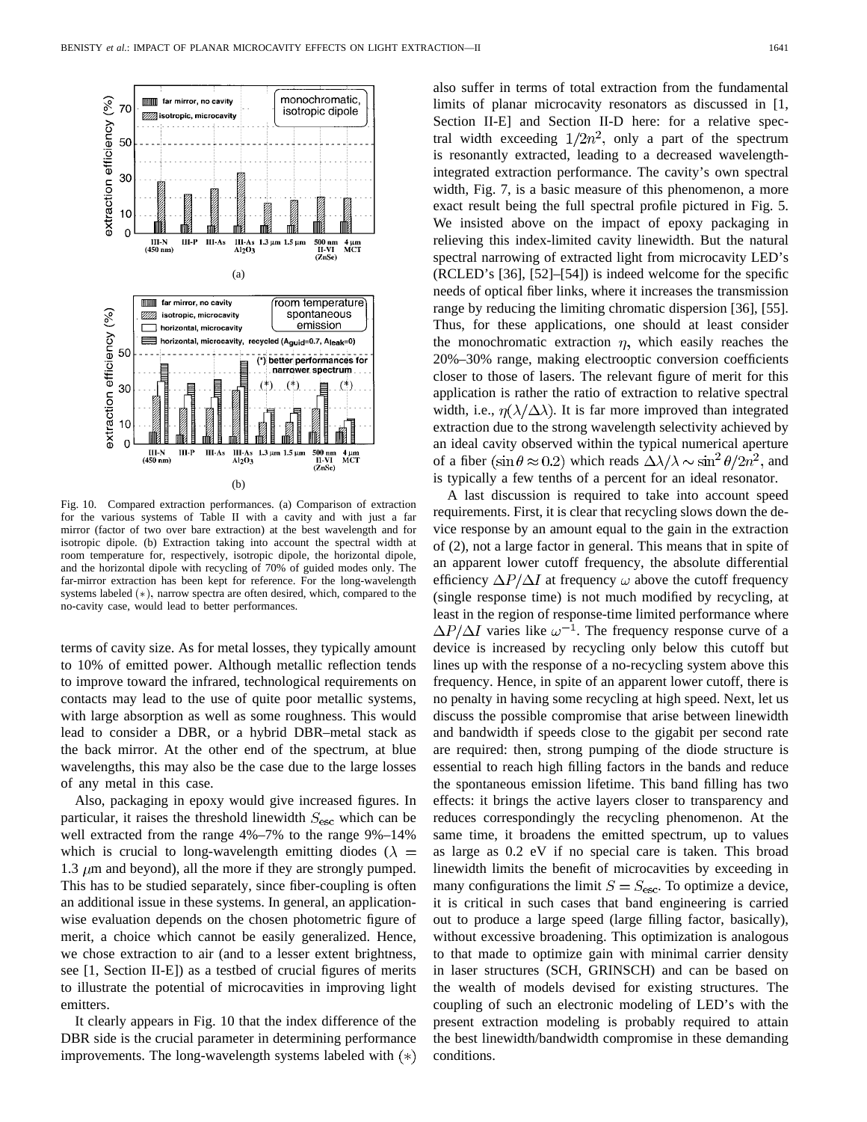

Fig. 10. Compared extraction performances. (a) Comparison of extraction for the various systems of Table II with a cavity and with just a far mirror (factor of two over bare extraction) at the best wavelength and for isotropic dipole. (b) Extraction taking into account the spectral width at room temperature for, respectively, isotropic dipole, the horizontal dipole, and the horizontal dipole with recycling of 70% of guided modes only. The far-mirror extraction has been kept for reference. For the long-wavelength systems labeled  $(*)$ , narrow spectra are often desired, which, compared to the no-cavity case, would lead to better performances.

terms of cavity size. As for metal losses, they typically amount to 10% of emitted power. Although metallic reflection tends to improve toward the infrared, technological requirements on contacts may lead to the use of quite poor metallic systems, with large absorption as well as some roughness. This would lead to consider a DBR, or a hybrid DBR–metal stack as the back mirror. At the other end of the spectrum, at blue wavelengths, this may also be the case due to the large losses of any metal in this case.

Also, packaging in epoxy would give increased figures. In particular, it raises the threshold linewidth  $S_{\text{esc}}$  which can be well extracted from the range 4%–7% to the range 9%–14% which is crucial to long-wavelength emitting diodes ( $\lambda =$ 1.3  $\mu$ m and beyond), all the more if they are strongly pumped. This has to be studied separately, since fiber-coupling is often an additional issue in these systems. In general, an applicationwise evaluation depends on the chosen photometric figure of merit, a choice which cannot be easily generalized. Hence, we chose extraction to air (and to a lesser extent brightness, see [1, Section II-E]) as a testbed of crucial figures of merits to illustrate the potential of microcavities in improving light emitters.

It clearly appears in Fig. 10 that the index difference of the DBR side is the crucial parameter in determining performance improvements. The long-wavelength systems labeled with  $(*)$  also suffer in terms of total extraction from the fundamental limits of planar microcavity resonators as discussed in [1, Section II-E] and Section II-D here: for a relative spectral width exceeding  $1/2n^2$ , only a part of the spectrum is resonantly extracted, leading to a decreased wavelengthintegrated extraction performance. The cavity's own spectral width, Fig. 7, is a basic measure of this phenomenon, a more exact result being the full spectral profile pictured in Fig. 5. We insisted above on the impact of epoxy packaging in relieving this index-limited cavity linewidth. But the natural spectral narrowing of extracted light from microcavity LED's (RCLED's [36], [52]–[54]) is indeed welcome for the specific needs of optical fiber links, where it increases the transmission range by reducing the limiting chromatic dispersion [36], [55]. Thus, for these applications, one should at least consider the monochromatic extraction  $\eta$ , which easily reaches the 20%–30% range, making electrooptic conversion coefficients closer to those of lasers. The relevant figure of merit for this application is rather the ratio of extraction to relative spectral width, i.e.,  $\eta(\lambda/\Delta\lambda)$ . It is far more improved than integrated extraction due to the strong wavelength selectivity achieved by an ideal cavity observed within the typical numerical aperture of a fiber (sin  $\theta \approx 0.2$ ) which reads  $\Delta \lambda / \lambda \sim \sin^2 \theta / 2n^2$ , and is typically a few tenths of a percent for an ideal resonator.

A last discussion is required to take into account speed requirements. First, it is clear that recycling slows down the device response by an amount equal to the gain in the extraction of (2), not a large factor in general. This means that in spite of an apparent lower cutoff frequency, the absolute differential efficiency  $\Delta P/\Delta I$  at frequency  $\omega$  above the cutoff frequency (single response time) is not much modified by recycling, at least in the region of response-time limited performance where  $\Delta P/\Delta I$  varies like  $\omega^{-1}$ . The frequency response curve of a device is increased by recycling only below this cutoff but lines up with the response of a no-recycling system above this frequency. Hence, in spite of an apparent lower cutoff, there is no penalty in having some recycling at high speed. Next, let us discuss the possible compromise that arise between linewidth and bandwidth if speeds close to the gigabit per second rate are required: then, strong pumping of the diode structure is essential to reach high filling factors in the bands and reduce the spontaneous emission lifetime. This band filling has two effects: it brings the active layers closer to transparency and reduces correspondingly the recycling phenomenon. At the same time, it broadens the emitted spectrum, up to values as large as 0.2 eV if no special care is taken. This broad linewidth limits the benefit of microcavities by exceeding in many configurations the limit  $S = S<sub>esc</sub>$ . To optimize a device, it is critical in such cases that band engineering is carried out to produce a large speed (large filling factor, basically), without excessive broadening. This optimization is analogous to that made to optimize gain with minimal carrier density in laser structures (SCH, GRINSCH) and can be based on the wealth of models devised for existing structures. The coupling of such an electronic modeling of LED's with the present extraction modeling is probably required to attain the best linewidth/bandwidth compromise in these demanding conditions.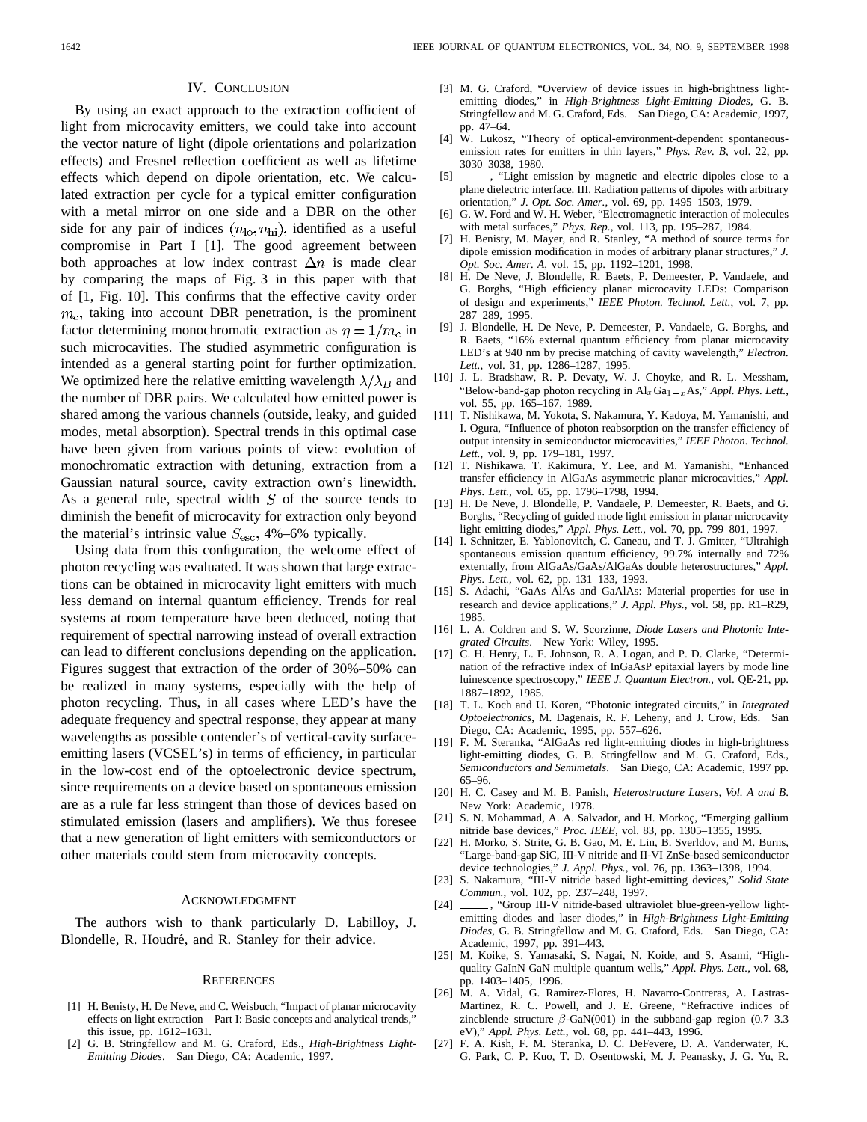#### IV. CONCLUSION

By using an exact approach to the extraction cofficient of light from microcavity emitters, we could take into account the vector nature of light (dipole orientations and polarization effects) and Fresnel reflection coefficient as well as lifetime effects which depend on dipole orientation, etc. We calculated extraction per cycle for a typical emitter configuration with a metal mirror on one side and a DBR on the other side for any pair of indices  $(n_{\text{lo}}, n_{\text{hi}})$ , identified as a useful compromise in Part I [1]. The good agreement between both approaches at low index contrast  $\Delta n$  is made clear by comparing the maps of Fig. 3 in this paper with that of [1, Fig. 10]. This confirms that the effective cavity order  $m_c$ , taking into account DBR penetration, is the prominent factor determining monochromatic extraction as  $\eta = 1/m_c$  in such microcavities. The studied asymmetric configuration is intended as a general starting point for further optimization. We optimized here the relative emitting wavelength  $\lambda/\lambda_B$  and the number of DBR pairs. We calculated how emitted power is shared among the various channels (outside, leaky, and guided modes, metal absorption). Spectral trends in this optimal case have been given from various points of view: evolution of monochromatic extraction with detuning, extraction from a Gaussian natural source, cavity extraction own's linewidth. As a general rule, spectral width  $S$  of the source tends to diminish the benefit of microcavity for extraction only beyond the material's intrinsic value  $S_{\rm esc}$ , 4%–6% typically.

Using data from this configuration, the welcome effect of photon recycling was evaluated. It was shown that large extractions can be obtained in microcavity light emitters with much less demand on internal quantum efficiency. Trends for real systems at room temperature have been deduced, noting that requirement of spectral narrowing instead of overall extraction can lead to different conclusions depending on the application. Figures suggest that extraction of the order of 30%–50% can be realized in many systems, especially with the help of photon recycling. Thus, in all cases where LED's have the adequate frequency and spectral response, they appear at many wavelengths as possible contender's of vertical-cavity surfaceemitting lasers (VCSEL's) in terms of efficiency, in particular in the low-cost end of the optoelectronic device spectrum, since requirements on a device based on spontaneous emission are as a rule far less stringent than those of devices based on stimulated emission (lasers and amplifiers). We thus foresee that a new generation of light emitters with semiconductors or other materials could stem from microcavity concepts.

#### ACKNOWLEDGMENT

The authors wish to thank particularly D. Labilloy, J. Blondelle, R. Houdré, and R. Stanley for their advice.

#### **REFERENCES**

- [1] H. Benisty, H. De Neve, and C. Weisbuch, "Impact of planar microcavity effects on light extraction—Part I: Basic concepts and analytical trends," this issue, pp. 1612–1631.
- [2] G. B. Stringfellow and M. G. Craford, Eds., *High-Brightness Light-Emitting Diodes*. San Diego, CA: Academic, 1997.
- [3] M. G. Craford, "Overview of device issues in high-brightness lightemitting diodes," in *High-Brightness Light-Emitting Diodes*, G. B. Stringfellow and M. G. Craford, Eds. San Diego, CA: Academic, 1997, pp. 47–64.
- [4] W. Lukosz, "Theory of optical-environment-dependent spontaneousemission rates for emitters in thin layers," *Phys. Rev. B*, vol. 22, pp. 3030–3038, 1980.
- [5]  $\_\_\_\$ , "Light emission by magnetic and electric dipoles close to a plane dielectric interface. III. Radiation patterns of dipoles with arbitrary orientation," *J. Opt. Soc. Amer.*, vol. 69, pp. 1495–1503, 1979.
- [6] G. W. Ford and W. H. Weber, "Electromagnetic interaction of molecules with metal surfaces," *Phys. Rep.*, vol. 113, pp. 195–287, 1984.
- [7] H. Benisty, M. Mayer, and R. Stanley, "A method of source terms for dipole emission modification in modes of arbitrary planar structures," *J. Opt. Soc. Amer. A*, vol. 15, pp. 1192–1201, 1998.
- [8] H. De Neve, J. Blondelle, R. Baets, P. Demeester, P. Vandaele, and G. Borghs, "High efficiency planar microcavity LEDs: Comparison of design and experiments," *IEEE Photon. Technol. Lett.*, vol. 7, pp. 287–289, 1995.
- [9] J. Blondelle, H. De Neve, P. Demeester, P. Vandaele, G. Borghs, and R. Baets, "16% external quantum efficiency from planar microcavity LED's at 940 nm by precise matching of cavity wavelength," *Electron. Lett.*, vol. 31, pp. 1286–1287, 1995.
- [10] J. L. Bradshaw, R. P. Devaty, W. J. Choyke, and R. L. Messham, "Below-band-gap photon recycling in  $\text{Al}_x\text{Ga}_{1-x}\text{As}$ ," *Appl. Phys. Lett.*, vol. 55, pp. 165–167, 1989.
- [11] T. Nishikawa, M. Yokota, S. Nakamura, Y. Kadoya, M. Yamanishi, and I. Ogura, "Influence of photon reabsorption on the transfer efficiency of output intensity in semiconductor microcavities," *IEEE Photon. Technol. Lett.*, vol. 9, pp. 179–181, 1997.
- [12] T. Nishikawa, T. Kakimura, Y. Lee, and M. Yamanishi, "Enhanced transfer efficiency in AlGaAs asymmetric planar microcavities," *Appl. Phys. Lett.*, vol. 65, pp. 1796–1798, 1994.
- [13] H. De Neve, J. Blondelle, P. Vandaele, P. Demeester, R. Baets, and G. Borghs, "Recycling of guided mode light emission in planar microcavity light emitting diodes," *Appl. Phys. Lett.*, vol. 70, pp. 799–801, 1997.
- [14] I. Schnitzer, E. Yablonovitch, C. Caneau, and T. J. Gmitter, "Ultrahigh spontaneous emission quantum efficiency, 99.7% internally and 72% externally, from AlGaAs/GaAs/AlGaAs double heterostructures," *Appl. Phys. Lett.*, vol. 62, pp. 131–133, 1993.
- [15] S. Adachi, "GaAs AlAs and GaAlAs: Material properties for use in research and device applications," *J. Appl. Phys.*, vol. 58, pp. R1–R29, 1985.
- [16] L. A. Coldren and S. W. Scorzinne, *Diode Lasers and Photonic Integrated Circuits*. New York: Wiley, 1995.
- [17] C. H. Henry, L. F. Johnson, R. A. Logan, and P. D. Clarke, "Determination of the refractive index of InGaAsP epitaxial layers by mode line luinescence spectroscopy," *IEEE J. Quantum Electron.*, vol. QE-21, pp. 1887–1892, 1985.
- [18] T. L. Koch and U. Koren, "Photonic integrated circuits," in *Integrated Optoelectronics*, M. Dagenais, R. F. Leheny, and J. Crow, Eds. San Diego, CA: Academic, 1995, pp. 557–626.
- [19] F. M. Steranka, "AlGaAs red light-emitting diodes in high-brightness light-emitting diodes, G. B. Stringfellow and M. G. Craford, Eds., *Semiconductors and Semimetals*. San Diego, CA: Academic, 1997 pp. 65–96.
- [20] H. C. Casey and M. B. Panish, *Heterostructure Lasers, Vol. A and B*. New York: Academic, 1978.
- [21] S. N. Mohammad, A. A. Salvador, and H. Morkoç, "Emerging gallium nitride base devices," *Proc. IEEE*, vol. 83, pp. 1305–1355, 1995.
- [22] H. Morko, S. Strite, G. B. Gao, M. E. Lin, B. Sverldov, and M. Burns, "Large-band-gap SiC, III-V nitride and II-VI ZnSe-based semiconductor device technologies," *J. Appl. Phys.*, vol. 76, pp. 1363–1398, 1994.
- [23] S. Nakamura, "III-V nitride based light-emitting devices," *Solid State Commun.*, vol. 102, pp. 237–248, 1997.
- [24] \_\_\_\_\_, "Group III-V nitride-based ultraviolet blue-green-yellow lightemitting diodes and laser diodes," in *High-Brightness Light-Emitting Diodes*, G. B. Stringfellow and M. G. Craford, Eds. San Diego, CA: Academic, 1997, pp. 391–443.
- [25] M. Koike, S. Yamasaki, S. Nagai, N. Koide, and S. Asami, "Highquality GaInN GaN multiple quantum wells," *Appl. Phys. Lett.*, vol. 68, pp. 1403–1405, 1996.
- [26] M. A. Vidal, G. Ramirez-Flores, H. Navarro-Contreras, A. Lastras-Martinez, R. C. Powell, and J. E. Greene, "Refractive indices of zincblende structure  $\beta$ -GaN(001) in the subband-gap region (0.7–3.3) eV)," *Appl. Phys. Lett.*, vol. 68, pp. 441–443, 1996.
- [27] F. A. Kish, F. M. Steranka, D. C. DeFevere, D. A. Vanderwater, K. G. Park, C. P. Kuo, T. D. Osentowski, M. J. Peanasky, J. G. Yu, R.